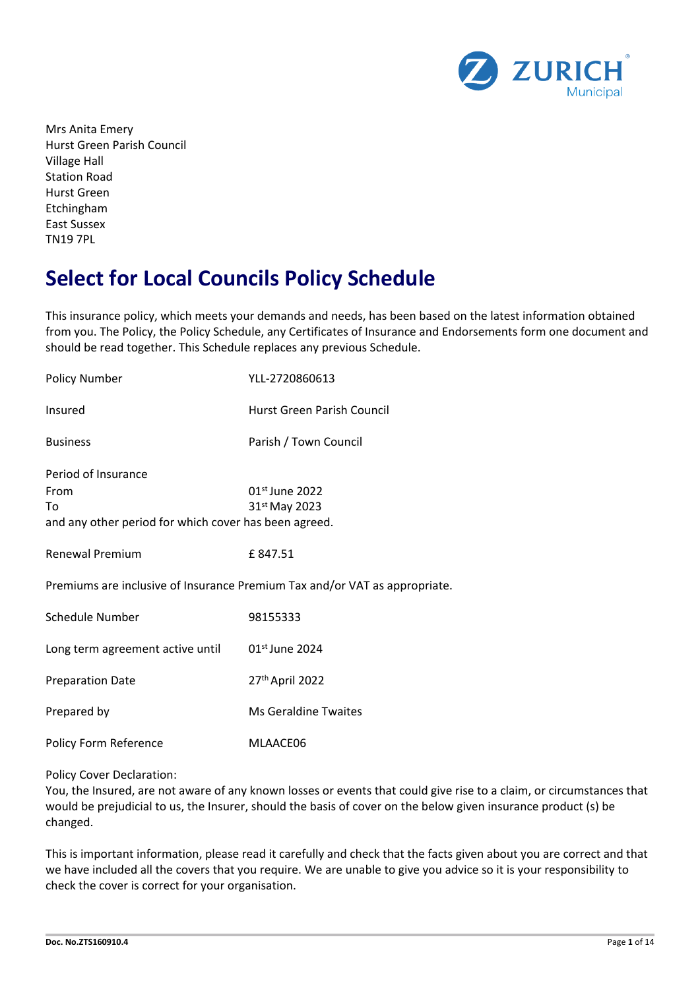

Mrs Anita Emery Hurst Green Parish Council Village Hall Station Road Hurst Green Etchingham East Sussex TN19 7PL

# **Select for Local Councils Policy Schedule**

This insurance policy, which meets your demands and needs, has been based on the latest information obtained from you. The Policy, the Policy Schedule, any Certificates of Insurance and Endorsements form one document and should be read together. This Schedule replaces any previous Schedule.

| <b>Policy Number</b>                                  | YLL-2720860613                                                             |
|-------------------------------------------------------|----------------------------------------------------------------------------|
| Insured                                               | Hurst Green Parish Council                                                 |
| <b>Business</b>                                       | Parish / Town Council                                                      |
| Period of Insurance                                   |                                                                            |
| From                                                  | 01 <sup>st</sup> June 2022                                                 |
| To                                                    | 31 <sup>st</sup> May 2023                                                  |
| and any other period for which cover has been agreed. |                                                                            |
|                                                       |                                                                            |
| <b>Renewal Premium</b>                                | £847.51                                                                    |
|                                                       |                                                                            |
|                                                       | Premiums are inclusive of Insurance Premium Tax and/or VAT as appropriate. |
|                                                       |                                                                            |
| Schedule Number                                       | 98155333                                                                   |
|                                                       |                                                                            |
| Long term agreement active until                      | 01 <sup>st</sup> June 2024                                                 |
|                                                       |                                                                            |
| <b>Preparation Date</b>                               | 27th April 2022                                                            |
| Prepared by                                           | <b>Ms Geraldine Twaites</b>                                                |
|                                                       |                                                                            |
| Policy Form Reference                                 | MLAACE06                                                                   |
|                                                       |                                                                            |
|                                                       |                                                                            |

Policy Cover Declaration:

You, the Insured, are not aware of any known losses or events that could give rise to a claim, or circumstances that would be prejudicial to us, the Insurer, should the basis of cover on the below given insurance product (s) be changed.

This is important information, please read it carefully and check that the facts given about you are correct and that we have included all the covers that you require. We are unable to give you advice so it is your responsibility to check the cover is correct for your organisation.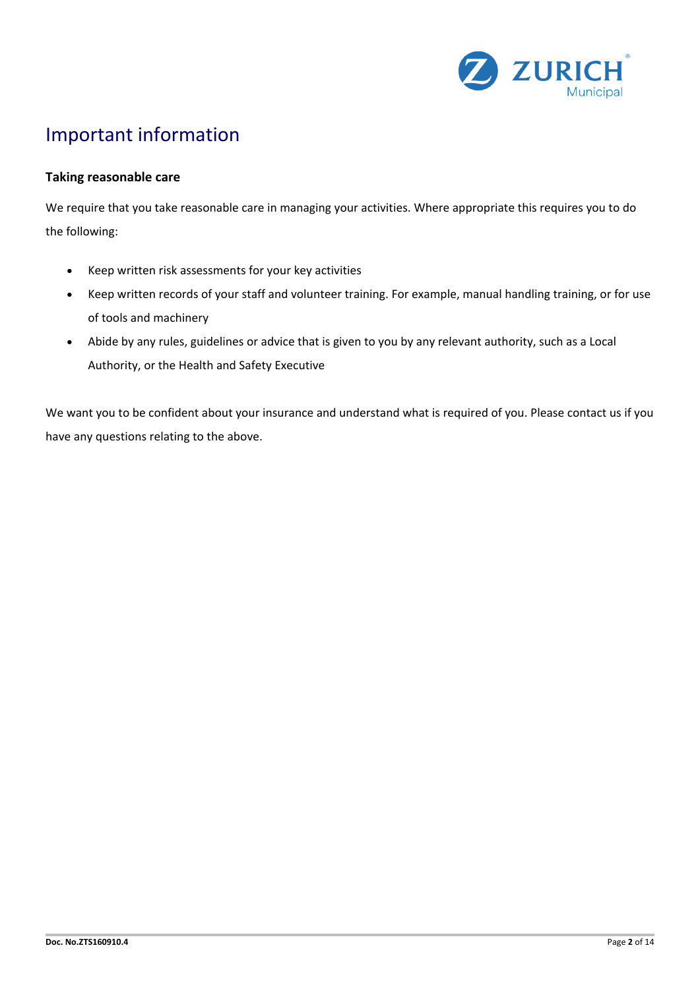

# Important information

## **Taking reasonable care**

We require that you take reasonable care in managing your activities. Where appropriate this requires you to do the following:

- Keep written risk assessments for your key activities
- Keep written records of your staff and volunteer training. For example, manual handling training, or for use of tools and machinery
- Abide by any rules, guidelines or advice that is given to you by any relevant authority, such as a Local Authority, or the Health and Safety Executive

We want you to be confident about your insurance and understand what is required of you. Please contact us if you have any questions relating to the above.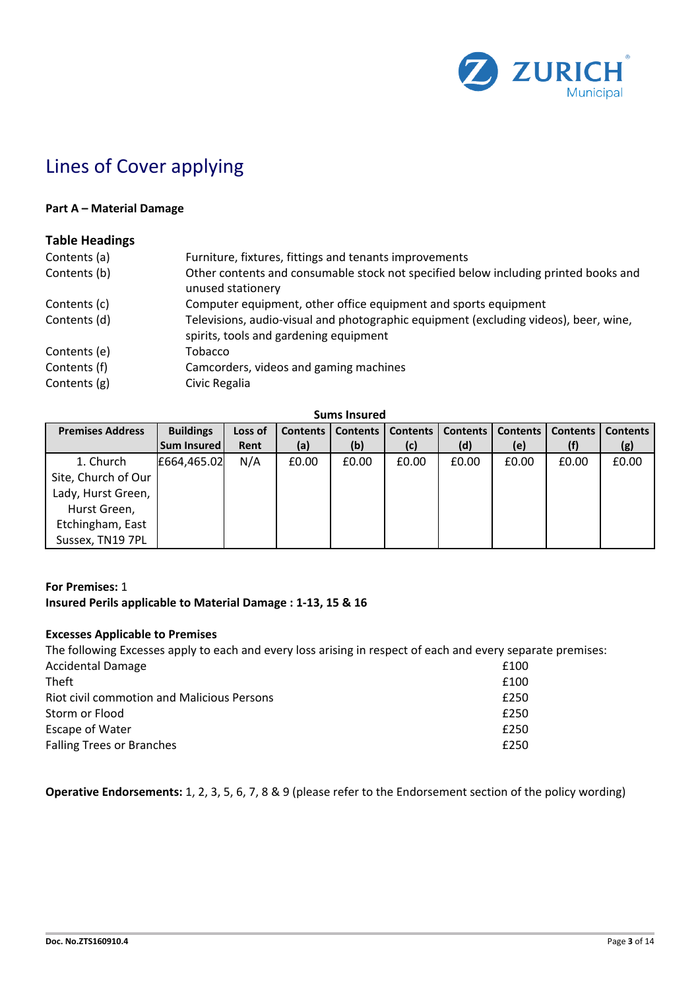

# Lines of Cover applying

### **Part A – Material Damage**

### **Table Headings**

| Contents (a) | Furniture, fixtures, fittings and tenants improvements                                                                         |
|--------------|--------------------------------------------------------------------------------------------------------------------------------|
| Contents (b) | Other contents and consumable stock not specified below including printed books and<br>unused stationery                       |
| Contents (c) | Computer equipment, other office equipment and sports equipment                                                                |
| Contents (d) | Televisions, audio-visual and photographic equipment (excluding videos), beer, wine,<br>spirits, tools and gardening equipment |
| Contents (e) | Tobacco                                                                                                                        |
| Contents (f) | Camcorders, videos and gaming machines                                                                                         |
| Contents (g) | Civic Regalia                                                                                                                  |

**Sums Insured**

| <b>Premises Address</b> | <b>Buildings</b> | Loss of | <b>Contents</b> | <b>Contents</b> | <b>Contents</b> | <b>Contents</b> | <b>Contents</b> | <b>Contents</b> | <b>Contents</b> |
|-------------------------|------------------|---------|-----------------|-----------------|-----------------|-----------------|-----------------|-----------------|-----------------|
|                         | Sum Insured      | Rent    | (a)             | (b)             | (c)             | (d)             | (e)             |                 | (g)             |
| 1. Church               | £664,465.02      | N/A     | £0.00           | £0.00           | £0.00           | £0.00           | £0.00           | £0.00           | £0.00           |
| Site, Church of Our     |                  |         |                 |                 |                 |                 |                 |                 |                 |
| Lady, Hurst Green,      |                  |         |                 |                 |                 |                 |                 |                 |                 |
| Hurst Green,            |                  |         |                 |                 |                 |                 |                 |                 |                 |
| Etchingham, East        |                  |         |                 |                 |                 |                 |                 |                 |                 |
| Sussex, TN19 7PL        |                  |         |                 |                 |                 |                 |                 |                 |                 |

### **For Premises:** 1

## **Insured Perils applicable to Material Damage : 1-13, 15 & 16**

### **Excesses Applicable to Premises**

| The following Excesses apply to each and every loss arising in respect of each and every separate premises: |      |
|-------------------------------------------------------------------------------------------------------------|------|
| <b>Accidental Damage</b>                                                                                    | £100 |
| <b>Theft</b>                                                                                                | £100 |
| Riot civil commotion and Malicious Persons                                                                  | £250 |
| Storm or Flood                                                                                              | £250 |
| Escape of Water                                                                                             | £250 |
| <b>Falling Trees or Branches</b>                                                                            | £250 |
|                                                                                                             |      |

**Operative Endorsements:** 1, 2, 3, 5, 6, 7, 8 & 9 (please refer to the Endorsement section of the policy wording)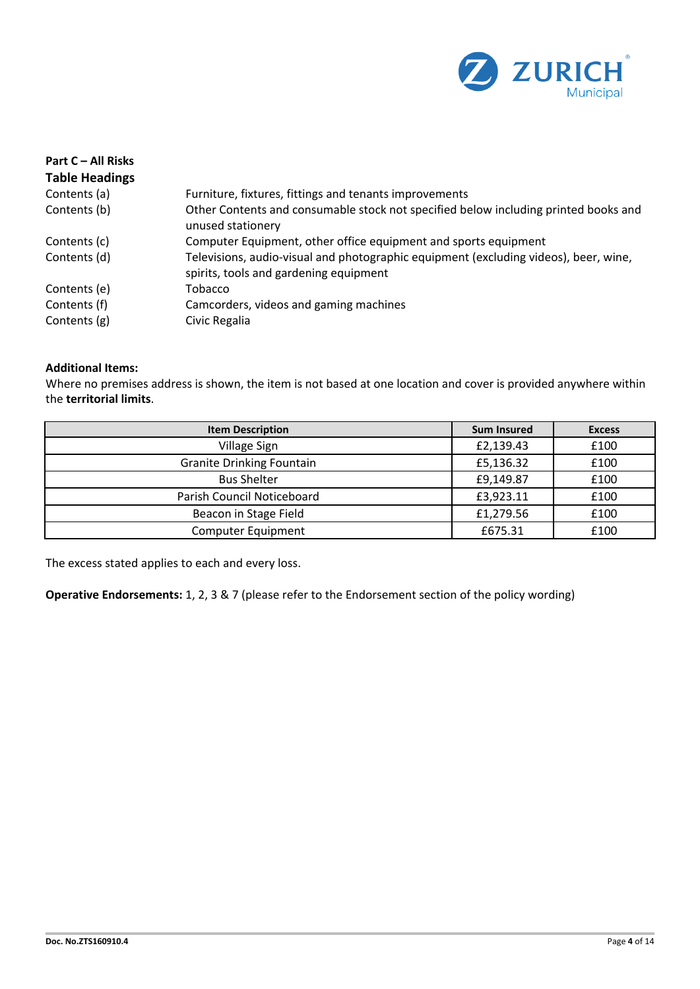

| Part C - All Risks    |                                                                                                                                |
|-----------------------|--------------------------------------------------------------------------------------------------------------------------------|
| <b>Table Headings</b> |                                                                                                                                |
| Contents (a)          | Furniture, fixtures, fittings and tenants improvements                                                                         |
| Contents (b)          | Other Contents and consumable stock not specified below including printed books and<br>unused stationery                       |
| Contents (c)          | Computer Equipment, other office equipment and sports equipment                                                                |
| Contents (d)          | Televisions, audio-visual and photographic equipment (excluding videos), beer, wine,<br>spirits, tools and gardening equipment |
| Contents (e)          | Tobacco                                                                                                                        |
| Contents (f)          | Camcorders, videos and gaming machines                                                                                         |
| Contents (g)          | Civic Regalia                                                                                                                  |

## **Additional Items:**

Where no premises address is shown, the item is not based at one location and cover is provided anywhere within the **territorial limits**.

| <b>Item Description</b>          | <b>Sum Insured</b> | <b>Excess</b> |
|----------------------------------|--------------------|---------------|
| Village Sign                     | £2,139.43          | £100          |
| <b>Granite Drinking Fountain</b> | £5,136.32          | £100          |
| <b>Bus Shelter</b>               | £9,149.87          | £100          |
| Parish Council Noticeboard       | £3,923.11          | £100          |
| Beacon in Stage Field            | £1,279.56          | £100          |
| Computer Equipment               | £675.31            | £100          |

The excess stated applies to each and every loss.

**Operative Endorsements:** 1, 2, 3 & 7 (please refer to the Endorsement section of the policy wording)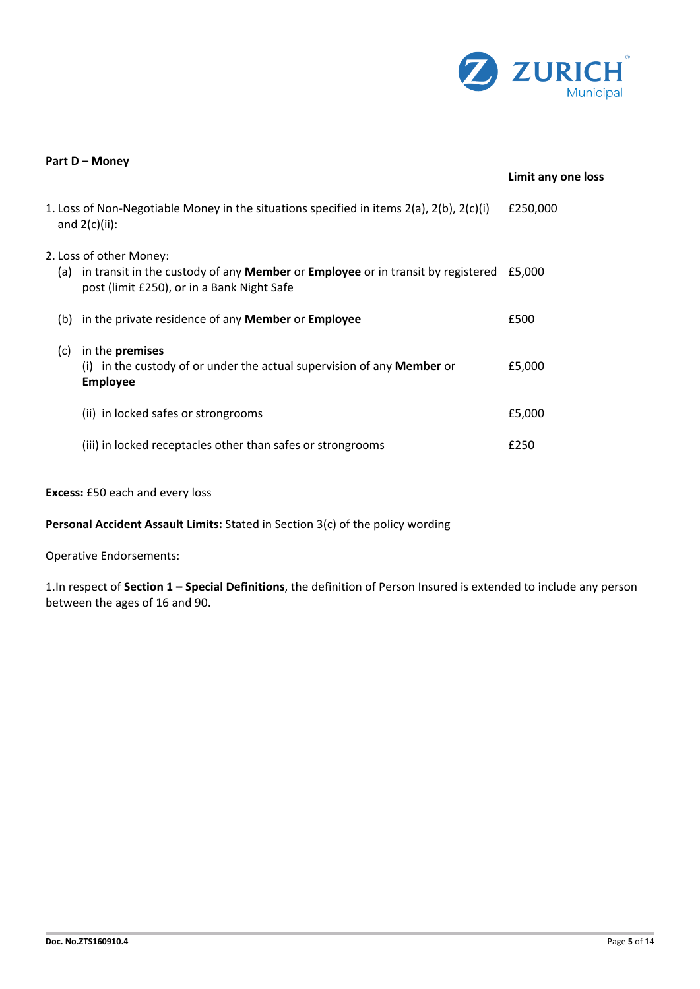

|     | Part D - Money                                                                                                                                                         |                    |
|-----|------------------------------------------------------------------------------------------------------------------------------------------------------------------------|--------------------|
|     |                                                                                                                                                                        | Limit any one loss |
|     | 1. Loss of Non-Negotiable Money in the situations specified in items $2(a)$ , $2(b)$ , $2(c)(i)$<br>and $2(c)(ii)$ :                                                   | £250,000           |
| (a) | 2. Loss of other Money:<br>in transit in the custody of any <b>Member</b> or <b>Employee</b> or in transit by registered<br>post (limit £250), or in a Bank Night Safe | £5.000             |
| (b) | in the private residence of any Member or Employee                                                                                                                     | £500               |
| (c) | in the <b>premises</b><br>(i) in the custody of or under the actual supervision of any Member or<br><b>Employee</b>                                                    | £5,000             |
|     | (ii) in locked safes or strongrooms                                                                                                                                    | £5,000             |
|     | (iii) in locked receptacles other than safes or strongrooms                                                                                                            | £250               |

## **Excess:** £50 each and every loss

**Personal Accident Assault Limits:** Stated in Section 3(c) of the policy wording

Operative Endorsements:

1.In respect of **Section 1 – Special Definitions**, the definition of Person Insured is extended to include any person between the ages of 16 and 90.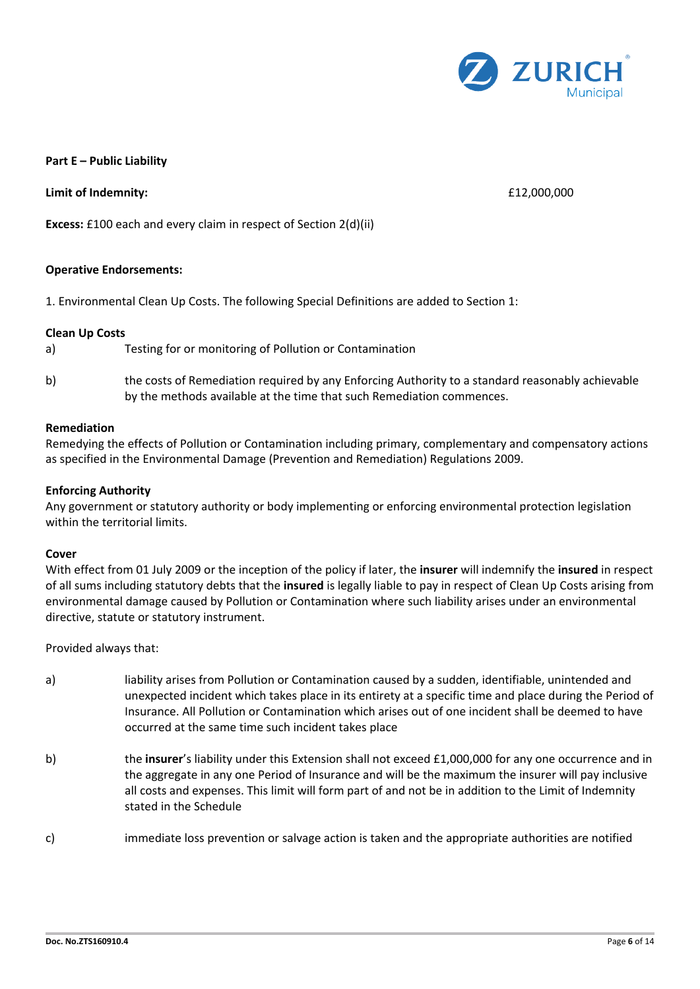

#### **Part E – Public Liability**

**Limit of Indemnity:** £12,000,000

**Excess:** £100 each and every claim in respect of Section 2(d)(ii)

#### **Operative Endorsements:**

1. Environmental Clean Up Costs. The following Special Definitions are added to Section 1:

#### **Clean Up Costs**

a) Testing for or monitoring of Pollution or Contamination

b) the costs of Remediation required by any Enforcing Authority to a standard reasonably achievable by the methods available at the time that such Remediation commences.

#### **Remediation**

Remedying the effects of Pollution or Contamination including primary, complementary and compensatory actions as specified in the Environmental Damage (Prevention and Remediation) Regulations 2009.

#### **Enforcing Authority**

Any government or statutory authority or body implementing or enforcing environmental protection legislation within the territorial limits.

#### **Cover**

With effect from 01 July 2009 or the inception of the policy if later, the **insurer** will indemnify the **insured** in respect of all sums including statutory debts that the **insured** is legally liable to pay in respect of Clean Up Costs arising from environmental damage caused by Pollution or Contamination where such liability arises under an environmental directive, statute or statutory instrument.

Provided always that:

- a) liability arises from Pollution or Contamination caused by a sudden, identifiable, unintended and unexpected incident which takes place in its entirety at a specific time and place during the Period of Insurance. All Pollution or Contamination which arises out of one incident shall be deemed to have occurred at the same time such incident takes place
- b) the **insurer**'s liability under this Extension shall not exceed £1,000,000 for any one occurrence and in the aggregate in any one Period of Insurance and will be the maximum the insurer will pay inclusive all costs and expenses. This limit will form part of and not be in addition to the Limit of Indemnity stated in the Schedule
- c) immediate loss prevention or salvage action is taken and the appropriate authorities are notified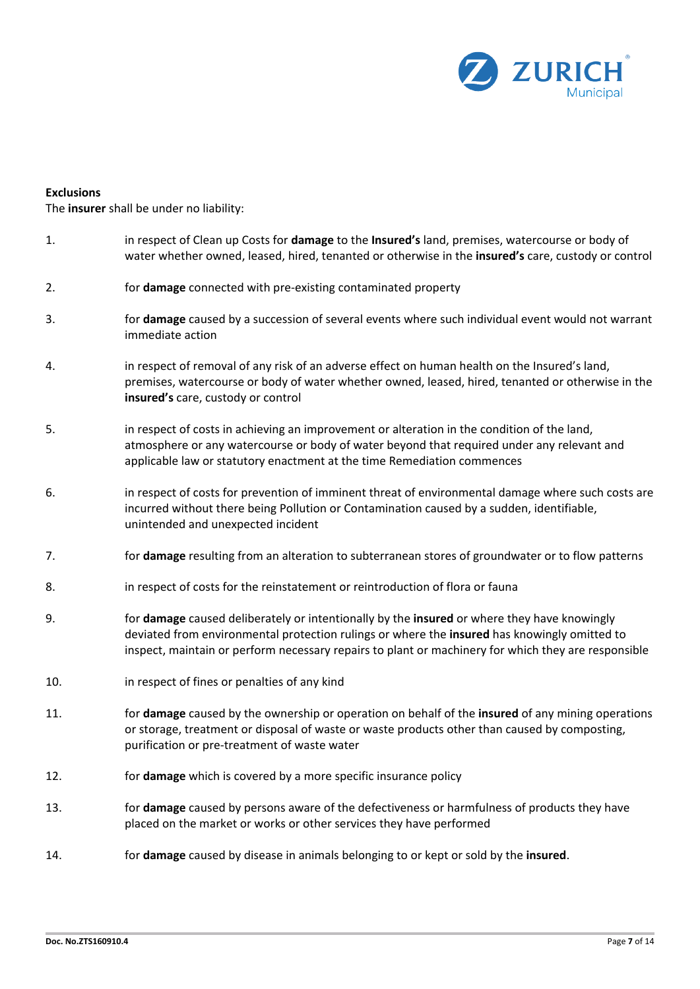

#### **Exclusions**

The **insurer** shall be under no liability:

- 1. in respect of Clean up Costs for **damage** to the **Insured's** land, premises, watercourse or body of water whether owned, leased, hired, tenanted or otherwise in the **insured's** care, custody or control
- 2. for **damage** connected with pre-existing contaminated property
- 3. for **damage** caused by a succession of several events where such individual event would not warrant immediate action
- 4. in respect of removal of any risk of an adverse effect on human health on the Insured's land, premises, watercourse or body of water whether owned, leased, hired, tenanted or otherwise in the **insured's** care, custody or control
- 5. in respect of costs in achieving an improvement or alteration in the condition of the land, atmosphere or any watercourse or body of water beyond that required under any relevant and applicable law or statutory enactment at the time Remediation commences
- 6. in respect of costs for prevention of imminent threat of environmental damage where such costs are incurred without there being Pollution or Contamination caused by a sudden, identifiable, unintended and unexpected incident
- 7. for **damage** resulting from an alteration to subterranean stores of groundwater or to flow patterns
- 8. in respect of costs for the reinstatement or reintroduction of flora or fauna
- 9. for **damage** caused deliberately or intentionally by the **insured** or where they have knowingly deviated from environmental protection rulings or where the **insured** has knowingly omitted to inspect, maintain or perform necessary repairs to plant or machinery for which they are responsible
- 10. in respect of fines or penalties of any kind
- 11. for **damage** caused by the ownership or operation on behalf of the **insured** of any mining operations or storage, treatment or disposal of waste or waste products other than caused by composting, purification or pre-treatment of waste water
- 12. for **damage** which is covered by a more specific insurance policy
- 13. for **damage** caused by persons aware of the defectiveness or harmfulness of products they have placed on the market or works or other services they have performed
- 14. for **damage** caused by disease in animals belonging to or kept or sold by the **insured**.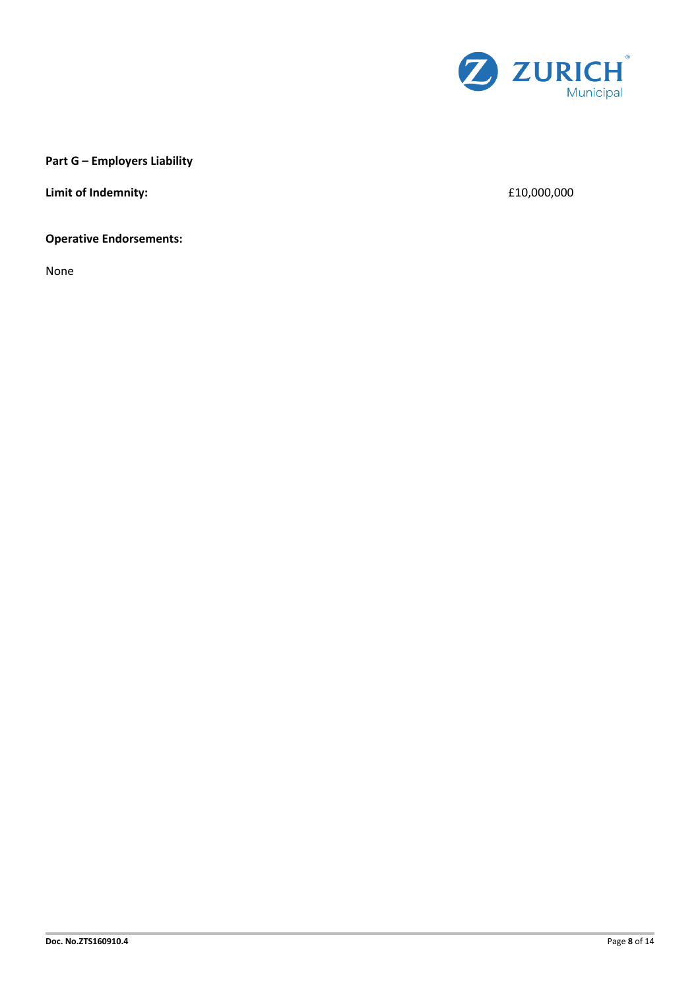

## **Part G – Employers Liability**

**Limit of Indemnity:**  $\qquad 600,000$ 

## **Operative Endorsements:**

None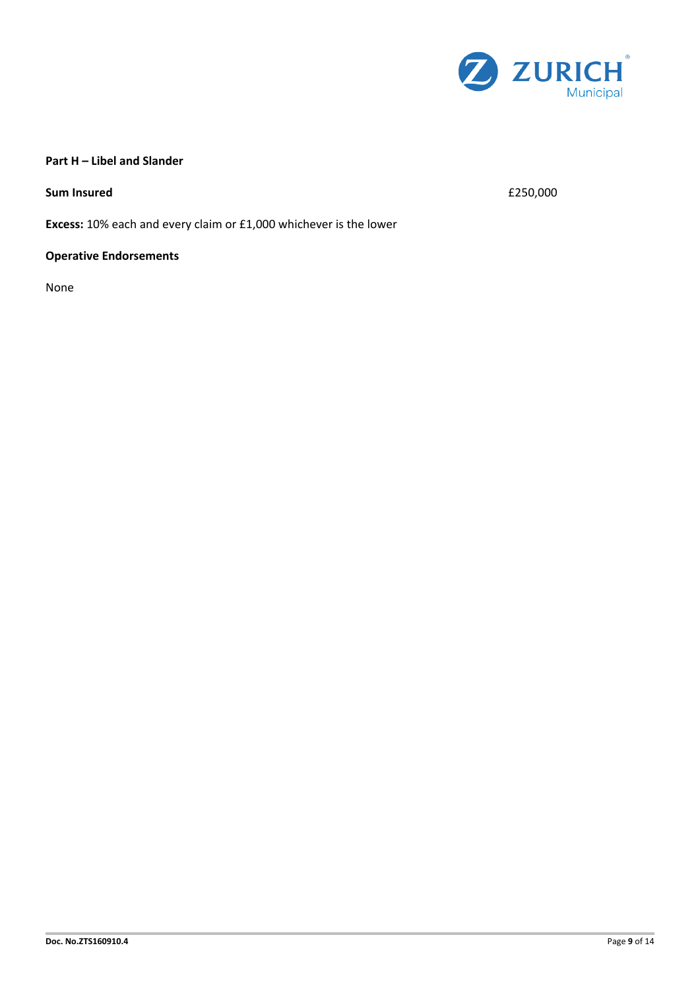

## **Part H – Libel and Slander**

**Sum Insured**  $\epsilon$  250,000

**Excess:** 10% each and every claim or £1,000 whichever is the lower

## **Operative Endorsements**

None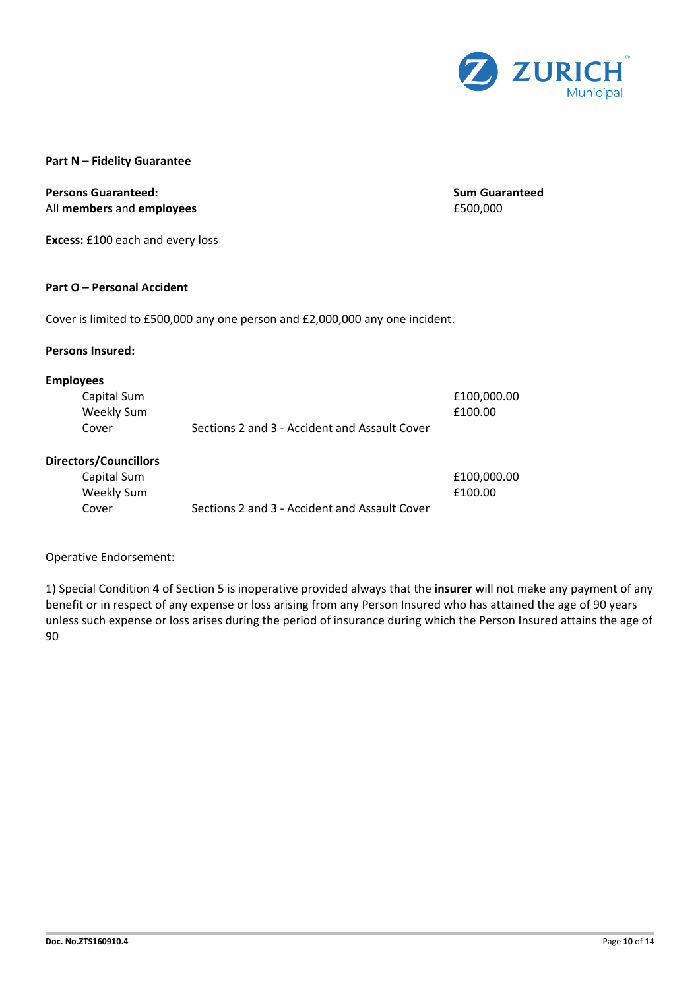

#### **Part N – Fidelity Guarantee**

## **Persons Guaranteed: Sum Guaranteed** All **members** and **employees E500,000**

**Excess:** £100 each and every loss

#### **Part O – Personal Accident**

Cover is limited to £500,000 any one person and £2,000,000 any one incident.

#### **Persons Insured:**

#### **Employees**

| Capital Sum |                                               | £100,000.00 |
|-------------|-----------------------------------------------|-------------|
| Weekly Sum  |                                               | £100.00     |
| Cover       | Sections 2 and 3 - Accident and Assault Cover |             |

#### **Directors/Councillors**

| Capital Sum |                                               | £100,000.00 |
|-------------|-----------------------------------------------|-------------|
| Weekly Sum  |                                               | £100.00     |
| Cover       | Sections 2 and 3 - Accident and Assault Cover |             |

#### Operative Endorsement:

1) Special Condition 4 of Section 5 is inoperative provided always that the **insurer** will not make any payment of any benefit or in respect of any expense or loss arising from any Person Insured who has attained the age of 90 years unless such expense or loss arises during the period of insurance during which the Person Insured attains the age of 90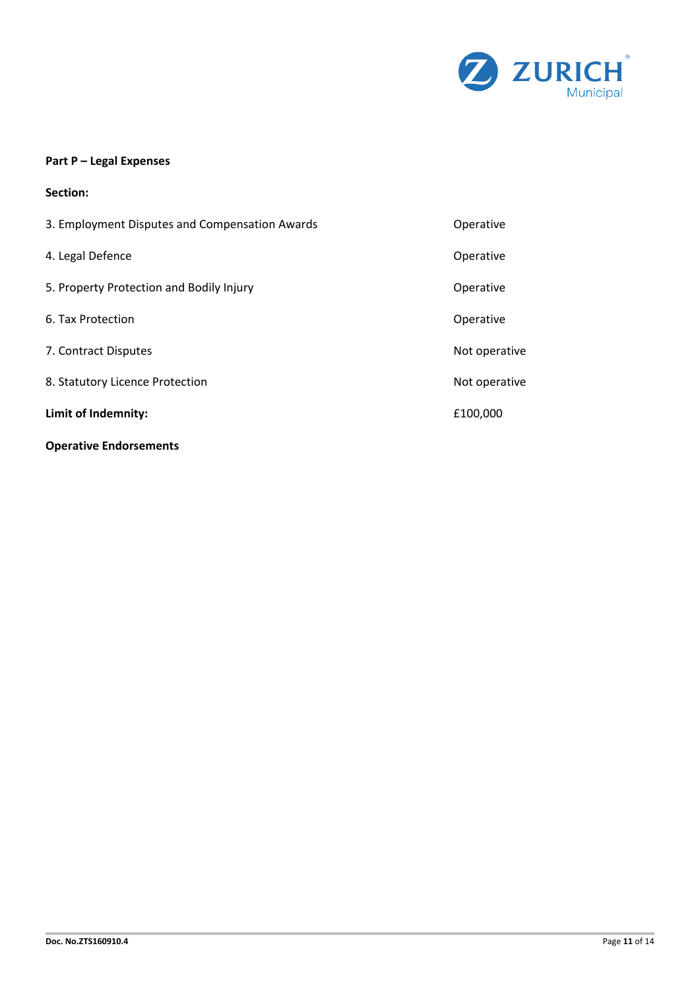

## **Part P – Legal Expenses**

| Section:                                       |               |
|------------------------------------------------|---------------|
| 3. Employment Disputes and Compensation Awards | Operative     |
| 4. Legal Defence                               | Operative     |
| 5. Property Protection and Bodily Injury       | Operative     |
| 6. Tax Protection                              | Operative     |
| 7. Contract Disputes                           | Not operative |
| 8. Statutory Licence Protection                | Not operative |
| Limit of Indemnity:                            | £100,000      |
| <b>Operative Endorsements</b>                  |               |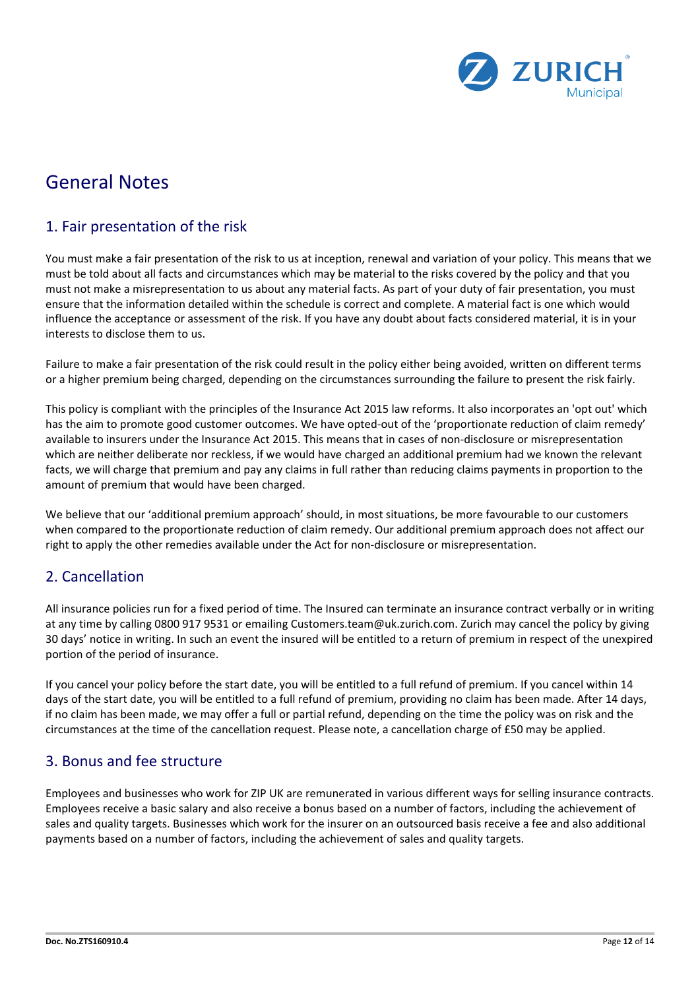

# General Notes

## 1. Fair presentation of the risk

You must make a fair presentation of the risk to us at inception, renewal and variation of your policy. This means that we must be told about all facts and circumstances which may be material to the risks covered by the policy and that you must not make a misrepresentation to us about any material facts. As part of your duty of fair presentation, you must ensure that the information detailed within the schedule is correct and complete. A material fact is one which would influence the acceptance or assessment of the risk. If you have any doubt about facts considered material, it is in your interests to disclose them to us.

Failure to make a fair presentation of the risk could result in the policy either being avoided, written on different terms or a higher premium being charged, depending on the circumstances surrounding the failure to present the risk fairly.

This policy is compliant with the principles of the Insurance Act 2015 law reforms. It also incorporates an 'opt out' which has the aim to promote good customer outcomes. We have opted-out of the 'proportionate reduction of claim remedy' available to insurers under the Insurance Act 2015. This means that in cases of non-disclosure or misrepresentation which are neither deliberate nor reckless, if we would have charged an additional premium had we known the relevant facts, we will charge that premium and pay any claims in full rather than reducing claims payments in proportion to the amount of premium that would have been charged.

We believe that our 'additional premium approach' should, in most situations, be more favourable to our customers when compared to the proportionate reduction of claim remedy. Our additional premium approach does not affect our right to apply the other remedies available under the Act for non-disclosure or misrepresentation.

## 2. Cancellation

All insurance policies run for a fixed period of time. The Insured can terminate an insurance contract verbally or in writing at any time by calling 0800 917 9531 or emailing Customers.team@uk.zurich.com. Zurich may cancel the policy by giving 30 days' notice in writing. In such an event the insured will be entitled to a return of premium in respect of the unexpired portion of the period of insurance.

If you cancel your policy before the start date, you will be entitled to a full refund of premium. If you cancel within 14 days of the start date, you will be entitled to a full refund of premium, providing no claim has been made. After 14 days, if no claim has been made, we may offer a full or partial refund, depending on the time the policy was on risk and the circumstances at the time of the cancellation request. Please note, a cancellation charge of £50 may be applied.

## 3. Bonus and fee structure

Employees and businesses who work for ZIP UK are remunerated in various different ways for selling insurance contracts. Employees receive a basic salary and also receive a bonus based on a number of factors, including the achievement of sales and quality targets. Businesses which work for the insurer on an outsourced basis receive a fee and also additional payments based on a number of factors, including the achievement of sales and quality targets.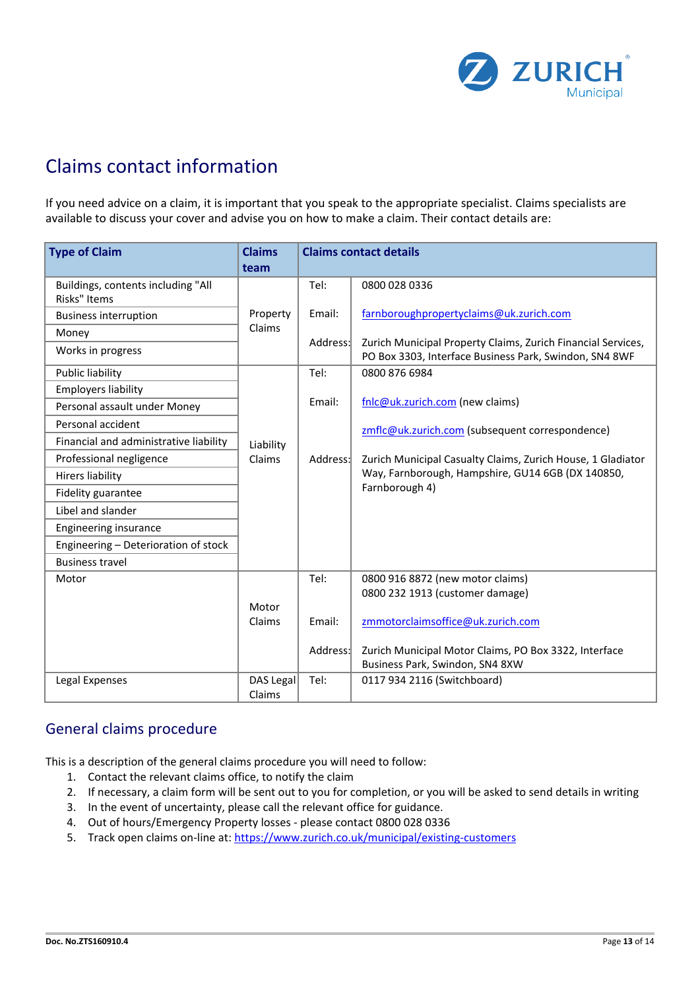

# Claims contact information

If you need advice on a claim, it is important that you speak to the appropriate specialist. Claims specialists are available to discuss your cover and advise you on how to make a claim. Their contact details are:

| <b>Type of Claim</b>                   | <b>Claims</b> | <b>Claims contact details</b> |                                                                                          |  |
|----------------------------------------|---------------|-------------------------------|------------------------------------------------------------------------------------------|--|
|                                        | team          |                               |                                                                                          |  |
| Buildings, contents including "All     |               | Tel:                          | 0800 028 0336                                                                            |  |
| Risks" Items                           |               |                               |                                                                                          |  |
| <b>Business interruption</b>           | Property      | Email:                        | farnboroughpropertyclaims@uk.zurich.com                                                  |  |
| Money                                  | Claims        |                               |                                                                                          |  |
| Works in progress                      |               | Address:                      | Zurich Municipal Property Claims, Zurich Financial Services,                             |  |
|                                        |               |                               | PO Box 3303, Interface Business Park, Swindon, SN4 8WF                                   |  |
| Public liability                       |               | Tel:                          | 0800 876 6984                                                                            |  |
| <b>Employers liability</b>             |               |                               |                                                                                          |  |
| Personal assault under Money           |               | Email:                        | fnlc@uk.zurich.com (new claims)                                                          |  |
| Personal accident                      |               |                               | zmflc@uk.zurich.com (subsequent correspondence)                                          |  |
| Financial and administrative liability | Liability     |                               |                                                                                          |  |
| Professional negligence                | Claims        | Address:                      | Zurich Municipal Casualty Claims, Zurich House, 1 Gladiator                              |  |
| <b>Hirers liability</b>                |               |                               | Way, Farnborough, Hampshire, GU14 6GB (DX 140850,                                        |  |
| Fidelity guarantee                     |               |                               | Farnborough 4)                                                                           |  |
| Libel and slander                      |               |                               |                                                                                          |  |
| Engineering insurance                  |               |                               |                                                                                          |  |
| Engineering - Deterioration of stock   |               |                               |                                                                                          |  |
| <b>Business travel</b>                 |               |                               |                                                                                          |  |
| Motor                                  |               | Tel:                          | 0800 916 8872 (new motor claims)                                                         |  |
|                                        |               |                               | 0800 232 1913 (customer damage)                                                          |  |
|                                        | Motor         |                               |                                                                                          |  |
|                                        | Claims        | Email:                        | zmmotorclaimsoffice@uk.zurich.com                                                        |  |
|                                        |               |                               |                                                                                          |  |
|                                        |               | Address:                      | Zurich Municipal Motor Claims, PO Box 3322, Interface<br>Business Park, Swindon, SN4 8XW |  |
| Legal Expenses                         | DAS Legal     | Tel:                          | 0117 934 2116 (Switchboard)                                                              |  |
|                                        | Claims        |                               |                                                                                          |  |

## General claims procedure

This is a description of the general claims procedure you will need to follow:

- 1. Contact the relevant claims office, to notify the claim
- 2. If necessary, a claim form will be sent out to you for completion, or you will be asked to send details in writing
- 3. In the event of uncertainty, please call the relevant office for guidance.
- 4. Out of hours/Emergency Property losses please contact 0800 028 0336
- 5. Track open claims on-line at: https://www.zurich.co.uk/municipal/existing-customers